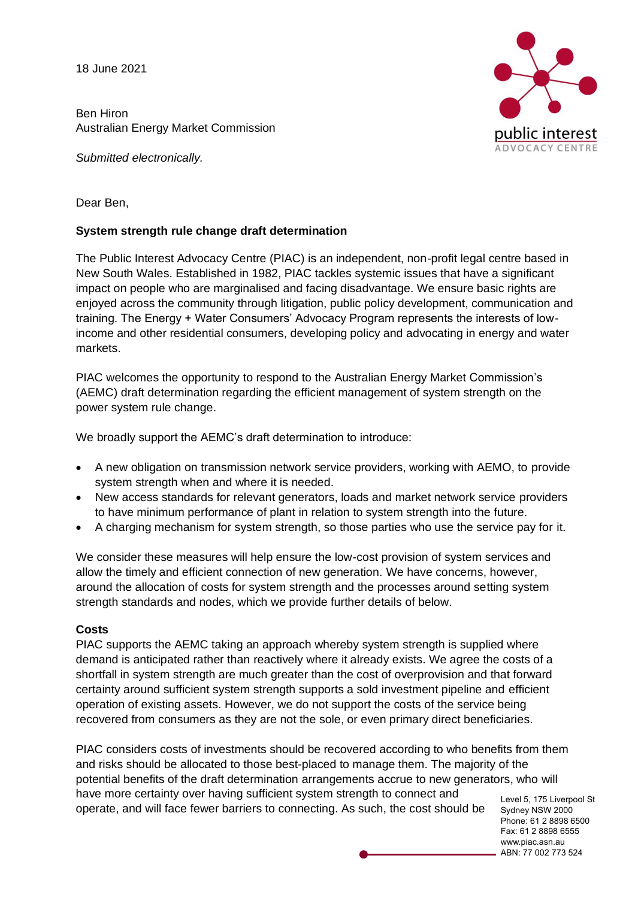18 June 2021

Ben Hiron Australian Energy Market Commission

*Submitted electronically.* 



Dear Ben,

## **System strength rule change draft determination**

The Public Interest Advocacy Centre (PIAC) is an independent, non-profit legal centre based in New South Wales. Established in 1982, PIAC tackles systemic issues that have a significant impact on people who are marginalised and facing disadvantage. We ensure basic rights are enjoyed across the community through litigation, public policy development, communication and training. The Energy + Water Consumers' Advocacy Program represents the interests of lowincome and other residential consumers, developing policy and advocating in energy and water markets.

PIAC welcomes the opportunity to respond to the Australian Energy Market Commission's (AEMC) draft determination regarding the efficient management of system strength on the power system rule change.

We broadly support the AEMC's draft determination to introduce:

- A new obligation on transmission network service providers, working with AEMO, to provide system strength when and where it is needed.
- New access standards for relevant generators, loads and market network service providers to have minimum performance of plant in relation to system strength into the future.
- A charging mechanism for system strength, so those parties who use the service pay for it.

We consider these measures will help ensure the low-cost provision of system services and allow the timely and efficient connection of new generation. We have concerns, however, around the allocation of costs for system strength and the processes around setting system strength standards and nodes, which we provide further details of below.

### **Costs**

PIAC supports the AEMC taking an approach whereby system strength is supplied where demand is anticipated rather than reactively where it already exists. We agree the costs of a shortfall in system strength are much greater than the cost of overprovision and that forward certainty around sufficient system strength supports a sold investment pipeline and efficient operation of existing assets. However, we do not support the costs of the service being recovered from consumers as they are not the sole, or even primary direct beneficiaries.

PIAC considers costs of investments should be recovered according to who benefits from them and risks should be allocated to those best-placed to manage them. The majority of the potential benefits of the draft determination arrangements accrue to new generators, who will have more certainty over having sufficient system strength to connect and operate, and will face fewer barriers to connecting. As such, the cost should be

Level 5, 175 Liverpool St Sydney NSW 2000 Phone: 61 2 8898 6500 Fax: 61 2 8898 6555 www.piac.asn.au ABN: 77 002 773 524